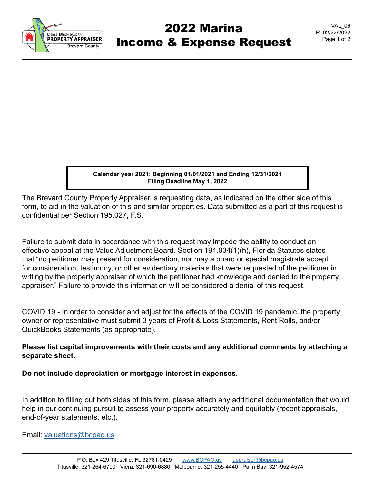

## 2022 Marina Income & Expense Request

VAL\_06 R: 02/22/2022 Page 1 of 2

**Calendar year 2021: Beginning 01/01/2021 and Ending 12/31/2021 Filing Deadline May 1, 2022**

The Brevard County Property Appraiser is requesting data, as indicated on the other side of this form, to aid in the valuation of this and similar properties. Data submitted as a part of this request is confidential per Section 195.027, F.S.

Failure to submit data in accordance with this request may impede the ability to conduct an effective appeal at the Value Adjustment Board. Section 194.034(1)(h), Florida Statutes states that "no petitioner may present for consideration, nor may a board or special magistrate accept for consideration, testimony, or other evidentiary materials that were requested of the petitioner in writing by the property appraiser of which the petitioner had knowledge and denied to the property appraiser." Failure to provide this information will be considered a denial of this request.

COVID 19 - In order to consider and adjust for the effects of the COVID 19 pandemic, the property owner or representative must submit 3 years of Profit & Loss Statements, Rent Rolls, and/or QuickBooks Statements (as appropriate).

## **Please list capital improvements with their costs and any additional comments by attaching a separate sheet.**

**Do not include depreciation or mortgage interest in expenses.**

In addition to filling out both sides of this form, please attach any additional documentation that would help in our continuing pursuit to assess your property accurately and equitably (recent appraisals, end-of-year statements, etc.).

Email: [valuations@bcpao.us](mailto: valuations@bcpao.us)